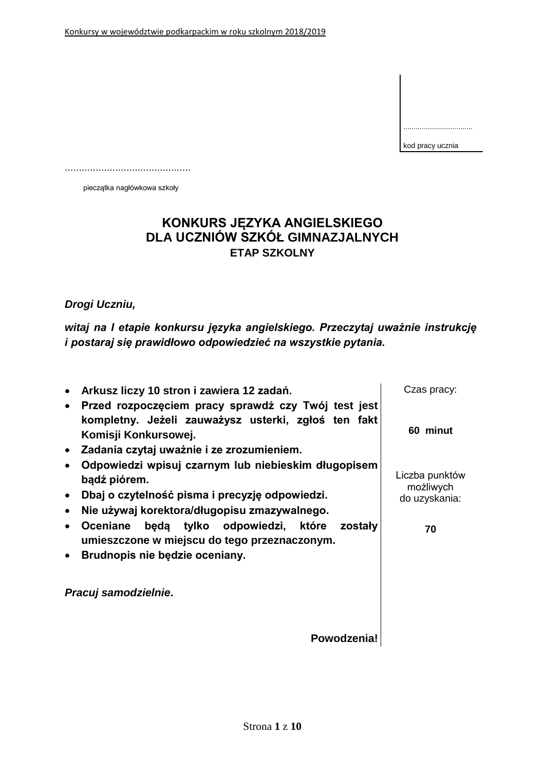| kod pracy ucznia |
|------------------|

pieczątka nagłówkowa szkoły

.............................................

# **KONKURS JĘZYKA ANGIELSKIEGO DLA UCZNIÓW SZKÓŁ GIMNAZJALNYCH ETAP SZKOLNY**

## *Drogi Uczniu,*

*witaj na I etapie konkursu języka angielskiego. Przeczytaj uważnie instrukcję i postaraj się prawidłowo odpowiedzieć na wszystkie pytania.*

|                                     | Arkusz liczy 10 stron i zawiera 12 zadań.<br>Przed rozpoczęciem pracy sprawdź czy Twój test jest                                                                                                                                                           | Czas pracy:                                        |
|-------------------------------------|------------------------------------------------------------------------------------------------------------------------------------------------------------------------------------------------------------------------------------------------------------|----------------------------------------------------|
|                                     | kompletny. Jeżeli zauważysz usterki, zgłoś ten fakt<br>Komisji Konkursowej.                                                                                                                                                                                | 60 minut                                           |
| $\bullet$                           | Zadania czytaj uważnie i ze zrozumieniem.                                                                                                                                                                                                                  |                                                    |
|                                     | Odpowiedzi wpisuj czarnym lub niebieskim długopisem                                                                                                                                                                                                        |                                                    |
| $\bullet$<br>$\bullet$<br>$\bullet$ | bądź piórem.<br>Dbaj o czytelność pisma i precyzję odpowiedzi.<br>Nie używaj korektora/długopisu zmazywalnego.<br>będą tylko odpowiedzi,<br>które<br>zostały<br>Oceniane<br>umieszczone w miejscu do tego przeznaczonym.<br>Brudnopis nie będzie oceniany. | Liczba punktów<br>możliwych<br>do uzyskania:<br>70 |
|                                     | Pracuj samodzielnie.                                                                                                                                                                                                                                       |                                                    |
|                                     | Powodzenia!                                                                                                                                                                                                                                                |                                                    |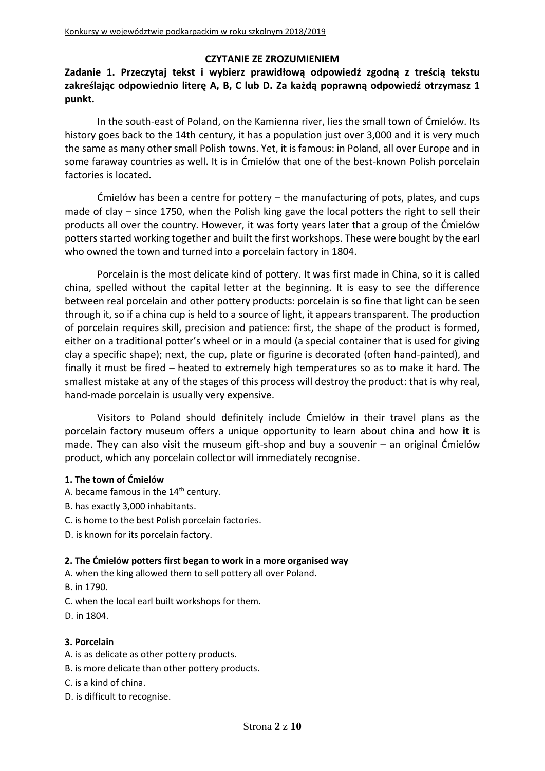## **CZYTANIE ZE ZROZUMIENIEM**

## **Zadanie 1. Przeczytaj tekst i wybierz prawidłową odpowiedź zgodną z treścią tekstu zakreślając odpowiednio literę A, B, C lub D. Za każdą poprawną odpowiedź otrzymasz 1 punkt.**

In the south-east of Poland, on the Kamienna river, lies the small town of Ćmielów. Its history goes back to the 14th century, it has a population just over 3,000 and it is very much the same as many other small Polish towns. Yet, it is famous: in Poland, all over Europe and in some faraway countries as well. It is in Ćmielów that one of the best-known Polish porcelain factories is located.

Ćmielów has been a centre for pottery – the manufacturing of pots, plates, and cups made of clay – since 1750, when the Polish king gave the local potters the right to sell their products all over the country. However, it was forty years later that a group of the Ćmielów potters started working together and built the first workshops. These were bought by the earl who owned the town and turned into a porcelain factory in 1804.

Porcelain is the most delicate kind of pottery. It was first made in China, so it is called china, spelled without the capital letter at the beginning. It is easy to see the difference between real porcelain and other pottery products: porcelain is so fine that light can be seen through it, so if a china cup is held to a source of light, it appears transparent. The production of porcelain requires skill, precision and patience: first, the shape of the product is formed, either on a traditional potter's wheel or in a mould (a special container that is used for giving clay a specific shape); next, the cup, plate or figurine is decorated (often hand-painted), and finally it must be fired – heated to extremely high temperatures so as to make it hard. The smallest mistake at any of the stages of this process will destroy the product: that is why real, hand-made porcelain is usually very expensive.

Visitors to Poland should definitely include Ćmielów in their travel plans as the porcelain factory museum offers a unique opportunity to learn about china and how **it** is made. They can also visit the museum gift-shop and buy a souvenir – an original Ćmielów product, which any porcelain collector will immediately recognise.

### **1. The town of Ćmielów**

- A. became famous in the  $14<sup>th</sup>$  century.
- B. has exactly 3,000 inhabitants.
- C. is home to the best Polish porcelain factories.
- D. is known for its porcelain factory.

#### **2. The Ćmielów potters first began to work in a more organised way**

A. when the king allowed them to sell pottery all over Poland.

B. in 1790.

- C. when the local earl built workshops for them.
- D. in 1804.

### **3. Porcelain**

- A. is as delicate as other pottery products.
- B. is more delicate than other pottery products.
- C. is a kind of china.
- D. is difficult to recognise.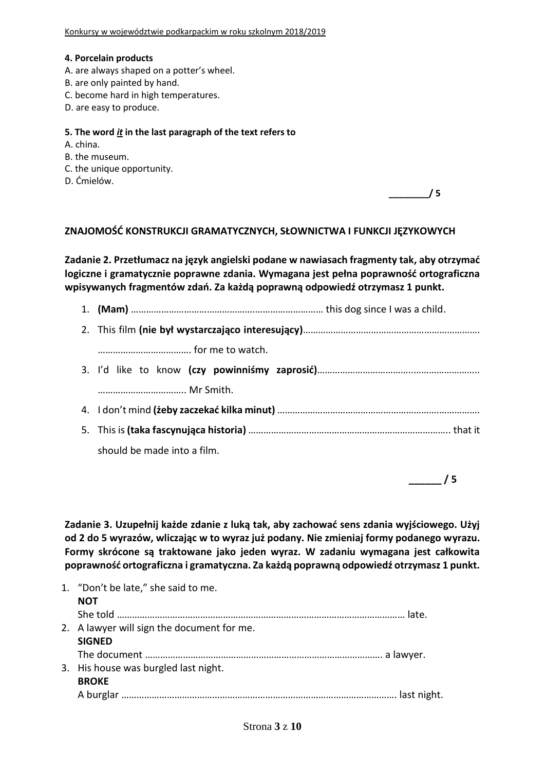#### **4. Porcelain products**

- A. are always shaped on a potter's wheel.
- B. are only painted by hand.
- C. become hard in high temperatures.
- D. are easy to produce.

#### **5. The word** *it* **in the last paragraph of the text refers to**

- A. china.
- B. the museum.
- C. the unique opportunity.
- D. Ćmielów.

## **ZNAJOMOŚĆ KONSTRUKCJI GRAMATYCZNYCH, SŁOWNICTWA I FUNKCJI JĘZYKOWYCH**

**Zadanie 2. Przetłumacz na język angielski podane w nawiasach fragmenty tak, aby otrzymać logiczne i gramatycznie poprawne zdania. Wymagana jest pełna poprawność ortograficzna wpisywanych fragmentów zdań. Za każdą poprawną odpowiedź otrzymasz 1 punkt.**

- 1. **(Mam)** ………………………………………….……………………… this dog since I was a child.
- 2. This film **(nie był wystarczająco interesujący)**……………………………………………………………. ………………………………. for me to watch.
- 3. I'd like to know **(czy powinniśmy zaprosić)**………………………………..…………………….. …………………………….. Mr Smith.
- 4. I don't mind **(żeby zaczekać kilka minut)** ……………………………………………………….…………….
- 5. This is **(taka fascynująca historia)** …………………………………………………………………….. that it should be made into a film.

**\_\_\_\_\_\_ / 5**

**\_\_\_\_\_\_\_\_/ 5** 

**Zadanie 3. Uzupełnij każde zdanie z luką tak, aby zachować sens zdania wyjściowego. Użyj od 2 do 5 wyrazów, wliczając w to wyraz już podany. Nie zmieniaj formy podanego wyrazu. Formy skrócone są traktowane jako jeden wyraz. W zadaniu wymagana jest całkowita poprawność ortograficzna i gramatyczna. Za każdą poprawną odpowiedź otrzymasz 1 punkt.**

| 1. "Don't be late," she said to me.        |  |
|--------------------------------------------|--|
| <b>NOT</b>                                 |  |
|                                            |  |
| 2. A lawyer will sign the document for me. |  |
| <b>SIGNED</b>                              |  |
|                                            |  |
| 3. His house was burgled last night.       |  |
| <b>BROKE</b>                               |  |
|                                            |  |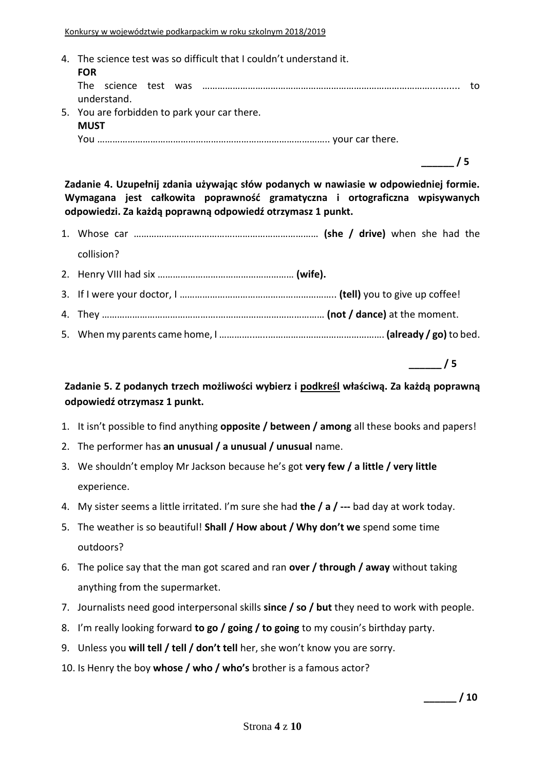4. The science test was so difficult that I couldn't understand it. **FOR** The science test was ………………………………………………………………………………........... to understand. 5. You are forbidden to park your car there. **MUST** You ……………………………………………………………………………….. your car there.

**\_\_\_\_\_\_ / 5**

**Zadanie 4. Uzupełnij zdania używając słów podanych w nawiasie w odpowiedniej formie. Wymagana jest całkowita poprawność gramatyczna i ortograficzna wpisywanych odpowiedzi. Za każdą poprawną odpowiedź otrzymasz 1 punkt.**

- 1. Whose car ………………………………….…………………………… **(she / drive)** when she had the collision?
- 2. Henry VIII had six ……………………………………………… **(wife).**
- 3. If I were your doctor, I …………………………………………………….. **(tell)** you to give up coffee!
- 4. They ……………………………………….…………………………………… **(not / dance)** at the moment.
- 5. When my parents came home, I …………..…..………………………………………. **(already / go)** to bed.

**\_\_\_\_\_\_ / 5**

**Zadanie 5. Z podanych trzech możliwości wybierz i podkreśl właściwą. Za każdą poprawną odpowiedź otrzymasz 1 punkt.**

- 1. It isn't possible to find anything **opposite / between / among** all these books and papers!
- 2. The performer has **an unusual / a unusual / unusual** name.
- 3. We shouldn't employ Mr Jackson because he's got **very few / a little / very little** experience.
- 4. My sister seems a little irritated. I'm sure she had **the / a / ---** bad day at work today.
- 5. The weather is so beautiful! **Shall / How about / Why don't we** spend some time outdoors?
- 6. The police say that the man got scared and ran **over / through / away** without taking anything from the supermarket.
- 7. Journalists need good interpersonal skills **since / so / but** they need to work with people.
- 8. I'm really looking forward **to go / going / to going** to my cousin's birthday party.
- 9. Unless you **will tell / tell / don't tell** her, she won't know you are sorry.
- 10. Is Henry the boy **whose / who / who's** brother is a famous actor?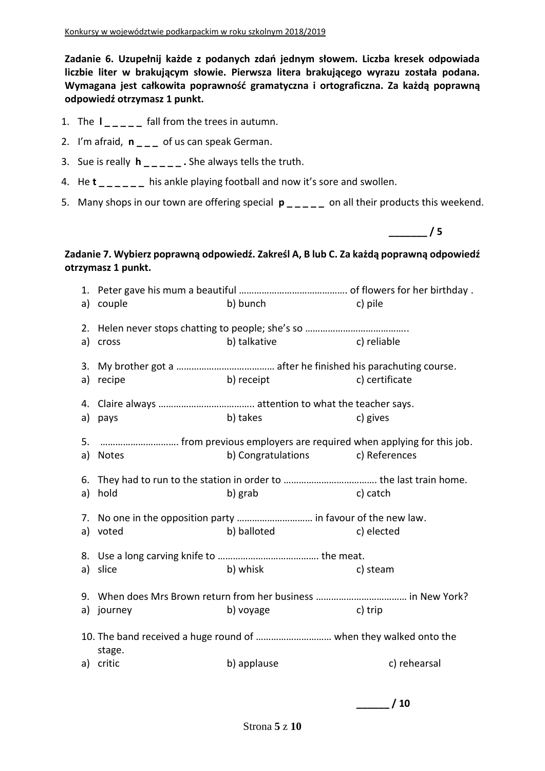**Zadanie 6. Uzupełnij każde z podanych zdań jednym słowem. Liczba kresek odpowiada liczbie liter w brakującym słowie. Pierwsza litera brakującego wyrazu została podana. Wymagana jest całkowita poprawność gramatyczna i ortograficzna. Za każdą poprawną odpowiedź otrzymasz 1 punkt.**

- 1. The **l \_ \_ \_ \_ \_** fall from the trees in autumn.
- 2. I'm afraid, **n \_ \_ \_** of us can speak German.
- 3. Sue is really **h \_ \_ \_ \_ \_ .** She always tells the truth.
- 4. He **t \_ \_ \_ \_ \_ \_** his ankle playing football and now it's sore and swollen.
- 5. Many shops in our town are offering special **p \_ \_ \_ \_ \_** on all their products this weekend.

**\_\_\_\_\_\_\_ / 5**

## **Zadanie 7. Wybierz poprawną odpowiedź. Zakreśl A, B lub C. Za każdą poprawną odpowiedź otrzymasz 1 punkt.**

| a) couple  | b) bunch                                                         | c) pile        |
|------------|------------------------------------------------------------------|----------------|
| a) cross   | <b>Example 2</b> (c) reliable<br>b) talkative                    |                |
| a) recipe  | b) receipt                                                       | c) certificate |
| a) pays    | b) takes                                                         | c) gives       |
| a) Notes   | b) Congratulations c) References                                 |                |
| a) hold    | b) grab                                                          | c) catch       |
|            | 7. No one in the opposition party  in favour of the new law.     |                |
| a) voted   | b) balloted                                                      | c) elected     |
| a) slice   | b) whisk                                                         | c) steam       |
|            |                                                                  |                |
| a) journey | b) voyage                                                        | c) trip        |
| stage.     | 10. The band received a huge round of  when they walked onto the |                |
| a) critic  | b) applause                                                      | c) rehearsal   |
|            |                                                                  |                |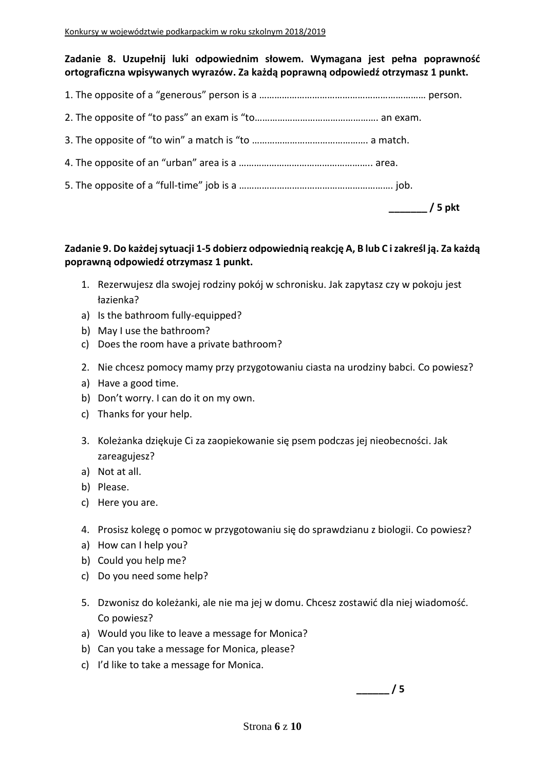## **Zadanie 8. Uzupełnij luki odpowiednim słowem. Wymagana jest pełna poprawność ortograficzna wpisywanych wyrazów. Za każdą poprawną odpowiedź otrzymasz 1 punkt.**

|--|--|--|

|--|--|

|--|--|--|--|--|--|--|

|--|--|--|--|--|--|

5. The opposite of a "full-time" job is a ……………………………………………………. job.

|  |  | כ | okt |
|--|--|---|-----|
|--|--|---|-----|

## **Zadanie 9. Do każdej sytuacji 1-5 dobierz odpowiednią reakcję A, B lub C i zakreśl ją. Za każdą poprawną odpowiedź otrzymasz 1 punkt.**

- 1. Rezerwujesz dla swojej rodziny pokój w schronisku. Jak zapytasz czy w pokoju jest łazienka?
- a) Is the bathroom fully-equipped?
- b) May I use the bathroom?
- c) Does the room have a private bathroom?
- 2. Nie chcesz pomocy mamy przy przygotowaniu ciasta na urodziny babci. Co powiesz?
- a) Have a good time.
- b) Don't worry. I can do it on my own.
- c) Thanks for your help.
- 3. Koleżanka dziękuje Ci za zaopiekowanie się psem podczas jej nieobecności. Jak zareagujesz?
- a) Not at all.
- b) Please.
- c) Here you are.
- 4. Prosisz kolegę o pomoc w przygotowaniu się do sprawdzianu z biologii. Co powiesz?
- a) How can I help you?
- b) Could you help me?
- c) Do you need some help?
- 5. Dzwonisz do koleżanki, ale nie ma jej w domu. Chcesz zostawić dla niej wiadomość. Co powiesz?
- a) Would you like to leave a message for Monica?
- b) Can you take a message for Monica, please?
- c) I'd like to take a message for Monica.

**\_\_\_\_\_\_ / 5**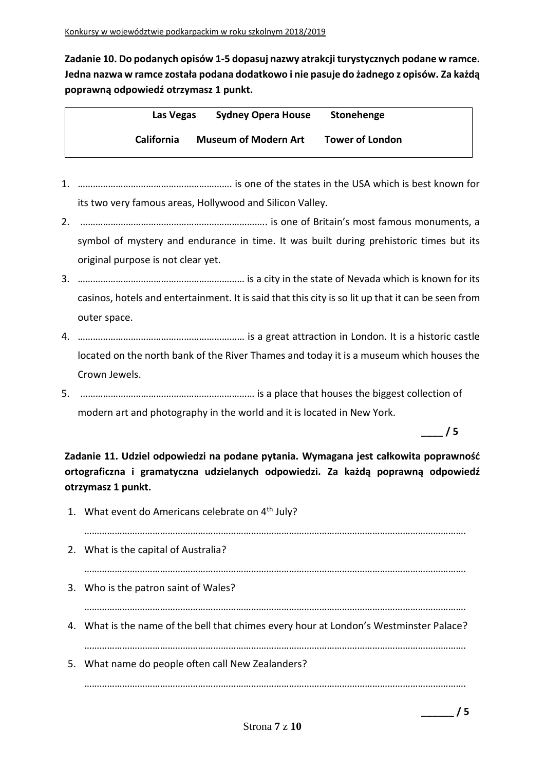**Zadanie 10. Do podanych opisów 1-5 dopasuj nazwy atrakcji turystycznych podane w ramce. Jedna nazwa w ramce została podana dodatkowo i nie pasuje do żadnego z opisów. Za każdą poprawną odpowiedź otrzymasz 1 punkt.**

| Las Vegas         | <b>Sydney Opera House</b>   | Stonehenge             |  |
|-------------------|-----------------------------|------------------------|--|
| <b>California</b> | <b>Museum of Modern Art</b> | <b>Tower of London</b> |  |

- 1. ……………………………………………………. is one of the states in the USA which is best known for its two very famous areas, Hollywood and Silicon Valley.
- 2. ……………………………………………………………….. is one of Britain's most famous monuments, a symbol of mystery and endurance in time. It was built during prehistoric times but its original purpose is not clear yet.
- 3. ………………………………………………………… is a city in the state of Nevada which is known for its casinos, hotels and entertainment. It is said that this city is so lit up that it can be seen from outer space.
- 4. ………………………………………………………… is a great attraction in London. It is a historic castle located on the north bank of the River Thames and today it is a museum which houses the Crown Jewels.
- 5. …………………………………………………………… is a place that houses the biggest collection of modern art and photography in the world and it is located in New York.

**\_\_\_\_ / 5**

**Zadanie 11. Udziel odpowiedzi na podane pytania. Wymagana jest całkowita poprawność ortograficzna i gramatyczna udzielanych odpowiedzi. Za każdą poprawną odpowiedź otrzymasz 1 punkt.**

1. What event do Americans celebrate on 4<sup>th</sup> July? ……………………………………………………………………………………………………………………………………. 2. What is the capital of Australia? ……………………………………………………………………………………………………………………………………. 3. Who is the patron saint of Wales? ……………………………………………………………………………………………………………………………………. 4. What is the name of the bell that chimes every hour at London's Westminster Palace? ……………………………………………………………………………………………………………………………………. 5. What name do people often call New Zealanders? …………………………………………………………………………………………………………………………………….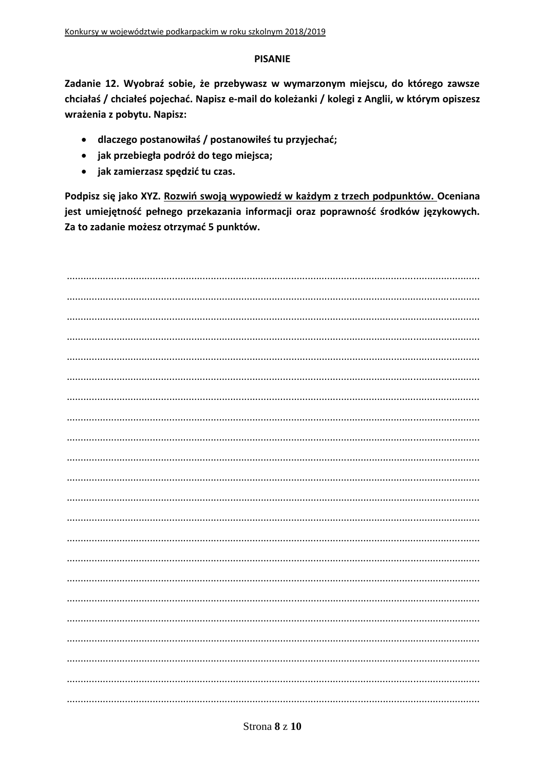#### **PISANIE**

Zadanie 12. Wyobraź sobie, że przebywasz w wymarzonym miejscu, do którego zawsze chciałaś / chciałeś pojechać. Napisz e-mail do koleżanki / kolegi z Anglii, w którym opiszesz wrażenia z pobytu. Napisz:

- · dlaczego postanowiłaś / postanowiłeś tu przyjechać;
- · jak przebiegła podróż do tego miejsca;
- · jak zamierzasz spędzić tu czas.

Podpisz się jako XYZ. Rozwiń swoją wypowiedź w każdym z trzech podpunktów. Oceniana jest umiejętność pełnego przekazania informacji oraz poprawność środków językowych. Za to zadanie możesz otrzymać 5 punktów.